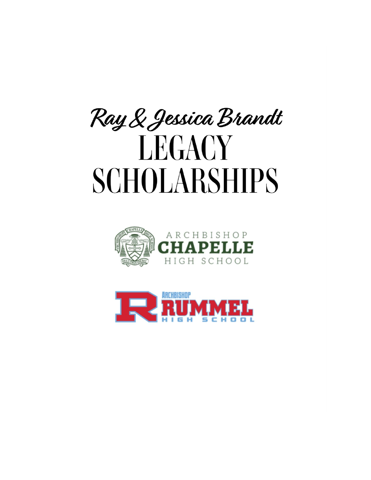



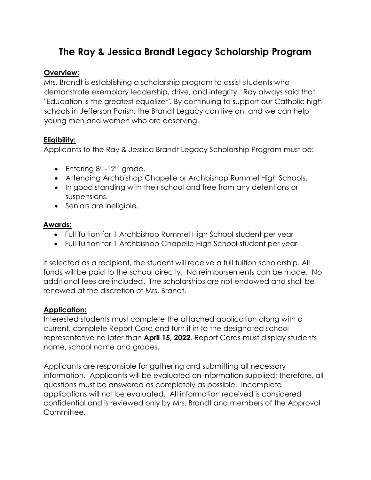## **The Ray & Jessica Brandt Legacy Scholarship Program**

#### **Overview:**

Mrs. Brandt is establishing a scholarship program to assist students who demonstrate exemplary leadership, drive, and integrity. Ray always said that "Education is the greatest equalizer". By continuing to support our Catholic high schools in Jefferson Parish, the Brandt Legacy can live on, and we can help young men and women who are deserving.

#### **Eligibility:**

Applicants to the Ray & Jessica Brandt Legacy Scholarship Program must be:

- $\bullet$  Entering 8<sup>th</sup>-12<sup>th</sup> grade.
- Attending Archbishop Chapelle or Archbishop Rummel High Schools.
- In good standing with their school and free from any detentions or suspensions.
- Seniors are ineligible.

## **Awards:**

- Full Tuition for 1 Archbishop Rummel High School student per year
- Full Tuition for 1 Archbishop Chapelle High School student per year

If selected as a recipient, the student will receive a full tuition scholarship. All funds will be paid to the school directly. No reimbursements can be made. No additional fees are included. The scholarships are not endowed and shall be renewed at the discretion of Mrs. Brandt.

#### **Application:**

Interested students must complete the attached application along with a current, complete Report Card and turn it in to the designated school representative no later than **April 15, 2022**. Report Cards must display students name, school name and grades.

Applicants are responsible for gathering and submitting all necessary information. Applicants will be evaluated on information supplied; therefore, all questions must be answered as completely as possible. Incomplete applications will not be evaluated. All information received is considered confidential and is reviewed only by Mrs. Brandt and members of the Approval Committee.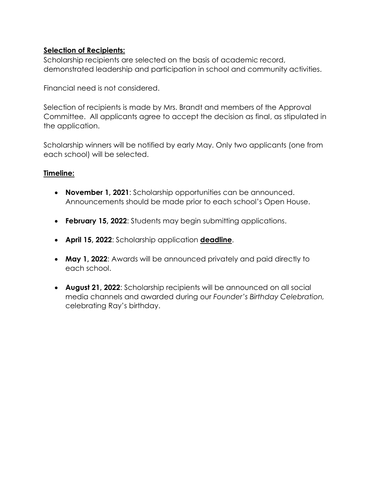## **Selection of Recipients:**

Scholarship recipients are selected on the basis of academic record, demonstrated leadership and participation in school and community activities.

Financial need is not considered.

Selection of recipients is made by Mrs. Brandt and members of the Approval Committee. All applicants agree to accept the decision as final, as stipulated in the application.

Scholarship winners will be notified by early May. Only two applicants (one from each school) will be selected.

## **Timeline:**

- **November 1, 2021**: Scholarship opportunities can be announced. Announcements should be made prior to each school's Open House.
- **February 15, 2022**: Students may begin submitting applications.
- **April 15, 2022**: Scholarship application **deadline**.
- **May 1, 2022**: Awards will be announced privately and paid directly to each school.
- **August 21, 2022**: Scholarship recipients will be announced on all social media channels and awarded during our *Founder's Birthday Celebration,* celebrating Ray's birthday.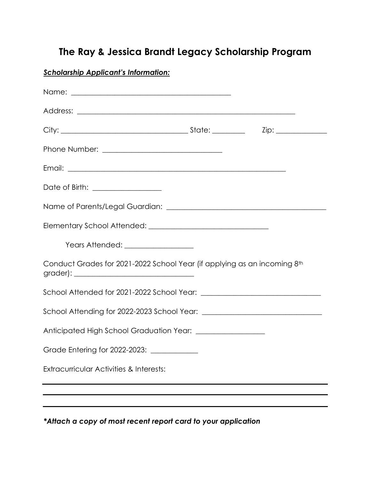# **The Ray & Jessica Brandt Legacy Scholarship Program**

*Scholarship Applicant's Information:*

| Date of Birth: ___________________                                       |  |
|--------------------------------------------------------------------------|--|
|                                                                          |  |
|                                                                          |  |
| Years Attended: __________________                                       |  |
| Conduct Grades for 2021-2022 School Year (if applying as an incoming 8th |  |
|                                                                          |  |
|                                                                          |  |
|                                                                          |  |
| Grade Entering for 2022-2023: _____________                              |  |
| Extracurricular Activities & Interests:                                  |  |
|                                                                          |  |
|                                                                          |  |

*\*Attach a copy of most recent report card to your application*